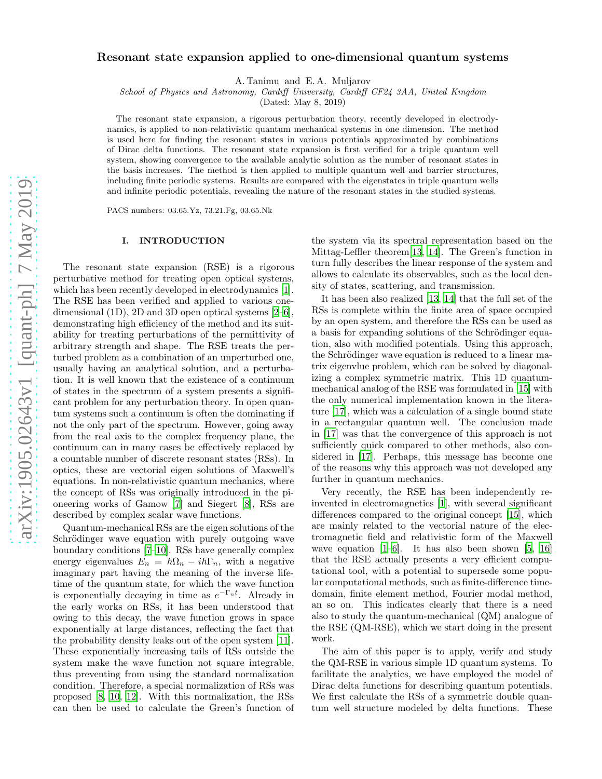# Resonant state expansion applied to one-dimensional quantum systems

A. Tanimu and E. A. Muljarov

School of Physics and Astronomy, Cardiff University, Cardiff CF24 3AA, United Kingdom

(Dated: May 8, 2019)

The resonant state expansion, a rigorous perturbation theory, recently developed in electrodynamics, is applied to non-relativistic quantum mechanical systems in one dimension. The method is used here for finding the resonant states in various potentials approximated by combinations of Dirac delta functions. The resonant state expansion is first verified for a triple quantum well system, showing convergence to the available analytic solution as the number of resonant states in the basis increases. The method is then applied to multiple quantum well and barrier structures, including finite periodic systems. Results are compared with the eigenstates in triple quantum wells and infinite periodic potentials, revealing the nature of the resonant states in the studied systems.

PACS numbers: 03.65.Yz, 73.21.Fg, 03.65.Nk

#### I. INTRODUCTION

The resonant state expansion (RSE) is a rigorous perturbative method for treating open optical systems, which has been recently developed in electrodynamics [\[1\]](#page-8-0). The RSE has been verified and applied to various onedimensional (1D), 2D and 3D open optical systems [\[2](#page-8-1)[–6\]](#page-9-0), demonstrating high efficiency of the method and its suitability for treating perturbations of the permittivity of arbitrary strength and shape. The RSE treats the perturbed problem as a combination of an unperturbed one, usually having an analytical solution, and a perturbation. It is well known that the existence of a continuum of states in the spectrum of a system presents a significant problem for any perturbation theory. In open quantum systems such a continuum is often the dominating if not the only part of the spectrum. However, going away from the real axis to the complex frequency plane, the continuum can in many cases be effectively replaced by a countable number of discrete resonant states (RSs). In optics, these are vectorial eigen solutions of Maxwell's equations. In non-relativistic quantum mechanics, where the concept of RSs was originally introduced in the pioneering works of Gamow [\[7](#page-9-1)] and Siegert [\[8\]](#page-9-2), RSs are described by complex scalar wave functions.

Quantum-mechanical RSs are the eigen solutions of the Schrödinger wave equation with purely outgoing wave boundary conditions [\[7](#page-9-1)[–10\]](#page-9-3). RSs have generally complex energy eigenvalues  $E_n = \hbar \Omega_n - i \hbar \Gamma_n$ , with a negative imaginary part having the meaning of the inverse lifetime of the quantum state, for which the wave function is exponentially decaying in time as  $e^{-\Gamma_n t}$ . Already in the early works on RSs, it has been understood that owing to this decay, the wave function grows in space exponentially at large distances, reflecting the fact that the probability density leaks out of the open system [\[11\]](#page-9-4). These exponentially increasing tails of RSs outside the system make the wave function not square integrable, thus preventing from using the standard normalization condition. Therefore, a special normalization of RSs was proposed [\[8,](#page-9-2) [10,](#page-9-3) [12\]](#page-9-5). With this normalization, the RSs can then be used to calculate the Green's function of

the system via its spectral representation based on the Mittag-Leffler theorem[\[13](#page-9-6), [14\]](#page-9-7). The Green's function in turn fully describes the linear response of the system and allows to calculate its observables, such as the local density of states, scattering, and transmission.

It has been also realized [\[13](#page-9-6), [14\]](#page-9-7) that the full set of the RSs is complete within the finite area of space occupied by an open system, and therefore the RSs can be used as a basis for expanding solutions of the Schrödinger equation, also with modified potentials. Using this approach, the Schrödinger wave equation is reduced to a linear matrix eigenvlue problem, which can be solved by diagonalizing a complex symmetric matrix. This 1D quantummechanical analog of the RSE was formulated in [\[15\]](#page-9-8) with the only numerical implementation known in the literature [\[17\]](#page-9-9), which was a calculation of a single bound state in a rectangular quantum well. The conclusion made in [\[17\]](#page-9-9) was that the convergence of this approach is not sufficiently quick compared to other methods, also considered in [\[17](#page-9-9)]. Perhaps, this message has become one of the reasons why this approach was not developed any further in quantum mechanics.

Very recently, the RSE has been independently reinvented in electromagnetics [\[1\]](#page-8-0), with several significant differences compared to the original concept [\[15\]](#page-9-8), which are mainly related to the vectorial nature of the electromagnetic field and relativistic form of the Maxwell wave equation  $[1-6]$ . It has also been shown  $[5, 16]$  $[5, 16]$  $[5, 16]$ that the RSE actually presents a very efficient computational tool, with a potential to supersede some popular computational methods, such as finite-difference timedomain, finite element method, Fourier modal method, an so on. This indicates clearly that there is a need also to study the quantum-mechanical (QM) analogue of the RSE (QM-RSE), which we start doing in the present work.

The aim of this paper is to apply, verify and study the QM-RSE in various simple 1D quantum systems. To facilitate the analytics, we have employed the model of Dirac delta functions for describing quantum potentials. We first calculate the RSs of a symmetric double quantum well structure modeled by delta functions. These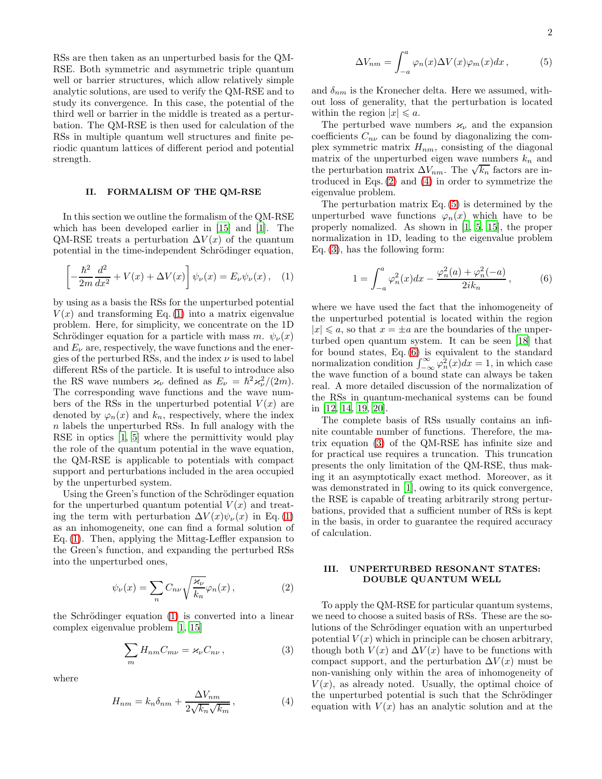RSs are then taken as an unperturbed basis for the QM-RSE. Both symmetric and asymmetric triple quantum well or barrier structures, which allow relatively simple analytic solutions, are used to verify the QM-RSE and to study its convergence. In this case, the potential of the third well or barrier in the middle is treated as a perturbation. The QM-RSE is then used for calculation of the RSs in multiple quantum well structures and finite periodic quantum lattices of different period and potential strength.

### II. FORMALISM OF THE QM-RSE

In this section we outline the formalism of the QM-RSE which has been developed earlier in [\[15\]](#page-9-8) and [\[1](#page-8-0)]. The QM-RSE treats a perturbation  $\Delta V(x)$  of the quantum potential in the time-independent Schrödinger equation,

<span id="page-1-0"></span>
$$
\left[ -\frac{\hbar^2}{2m} \frac{d^2}{dx^2} + V(x) + \Delta V(x) \right] \psi_{\nu}(x) = E_{\nu} \psi_{\nu}(x) , \quad (1)
$$

by using as a basis the RSs for the unperturbed potential  $V(x)$  and transforming Eq. [\(1\)](#page-1-0) into a matrix eigenvalue problem. Here, for simplicity, we concentrate on the 1D Schrödinger equation for a particle with mass m.  $\psi_{\nu}(x)$ and  $E_{\nu}$  are, respectively, the wave functions and the energies of the perturbed RSs, and the index  $\nu$  is used to label different RSs of the particle. It is useful to introduce also the RS wave numbers  $\varkappa_{\nu}$  defined as  $E_{\nu} = \hbar^2 \varkappa_{\nu}^2/(2m)$ . The corresponding wave functions and the wave numbers of the RSs in the unperturbed potential  $V(x)$  are denoted by  $\varphi_n(x)$  and  $k_n$ , respectively, where the index n labels the unperturbed RSs. In full analogy with the RSE in optics [\[1,](#page-8-0) [5\]](#page-8-2) where the permittivity would play the role of the quantum potential in the wave equation, the QM-RSE is applicable to potentials with compact support and perturbations included in the area occupied by the unperturbed system.

Using the Green's function of the Schrödinger equation for the unperturbed quantum potential  $V(x)$  and treating the term with perturbation  $\Delta V(x)\psi_{\nu}(x)$  in Eq. [\(1\)](#page-1-0) as an inhomogeneity, one can find a formal solution of Eq. [\(1\)](#page-1-0). Then, applying the Mittag-Leffler expansion to the Green's function, and expanding the perturbed RSs into the unperturbed ones,

<span id="page-1-1"></span>
$$
\psi_{\nu}(x) = \sum_{n} C_{n\nu} \sqrt{\frac{\varkappa_{\nu}}{k_{n}}} \varphi_{n}(x) , \qquad (2)
$$

the Schrödinger equation  $(1)$  is converted into a linear complex eigenvalue problem [\[1](#page-8-0), [15](#page-9-8)]

<span id="page-1-4"></span>
$$
\sum_{m} H_{nm} C_{m\nu} = \varkappa_{\nu} C_{n\nu} , \qquad (3)
$$

where

<span id="page-1-2"></span>
$$
H_{nm} = k_n \delta_{nm} + \frac{\Delta V_{nm}}{2\sqrt{k_n}\sqrt{k_m}},
$$
\n(4)

<span id="page-1-3"></span>
$$
\Delta V_{nm} = \int_{-a}^{a} \varphi_n(x) \Delta V(x) \varphi_m(x) dx , \qquad (5)
$$

and  $\delta_{nm}$  is the Kronecher delta. Here we assumed, without loss of generality, that the perturbation is located within the region  $|x| \leq a$ .

The perturbed wave numbers  $\varkappa_{\nu}$  and the expansion coefficients  $C_{n\nu}$  can be found by diagonalizing the complex symmetric matrix  $H_{nm}$ , consisting of the diagonal matrix of the unperturbed eigen wave numbers  $k_n$  and the perturbation matrix  $\Delta V_{nm}$ . The  $\sqrt{k_n}$  factors are introduced in Eqs. [\(2\)](#page-1-1) and [\(4\)](#page-1-2) in order to symmetrize the eigenvalue problem.

The perturbation matrix Eq. [\(5\)](#page-1-3) is determined by the unperturbed wave functions  $\varphi_n(x)$  which have to be properly nomalized. As shown in [\[1](#page-8-0), [5](#page-8-2), [15\]](#page-9-8), the proper normalization in 1D, leading to the eigenvalue problem Eq. [\(3\)](#page-1-4), has the following form:

<span id="page-1-5"></span>
$$
1 = \int_{-a}^{a} \varphi_n^2(x) dx - \frac{\varphi_n^2(a) + \varphi_n^2(-a)}{2ik_n},
$$
 (6)

where we have used the fact that the inhomogeneity of the unperturbed potential is located within the region  $|x| \leq a$ , so that  $x = \pm a$  are the boundaries of the unperturbed open quantum system. It can be seen [\[18](#page-9-11)] that for bound states, Eq. [\(6\)](#page-1-5) is equivalent to the standard normalization condition  $\int_{-\infty}^{\infty} \varphi_n^2(x) dx = 1$ , in which case the wave function of a bound state can always be taken real. A more detailed discussion of the normalization of the RSs in quantum-mechanical systems can be found in [\[12,](#page-9-5) [14](#page-9-7), [19,](#page-9-12) [20\]](#page-9-13).

The complete basis of RSs usually contains an infinite countable number of functions. Therefore, the matrix equation [\(3\)](#page-1-4) of the QM-RSE has infinite size and for practical use requires a truncation. This truncation presents the only limitation of the QM-RSE, thus making it an asymptotically exact method. Moreover, as it was demonstrated in [\[1](#page-8-0)], owing to its quick convergence, the RSE is capable of treating arbitrarily strong perturbations, provided that a sufficient number of RSs is kept in the basis, in order to guarantee the required accuracy of calculation.

# III. UNPERTURBED RESONANT STATES: DOUBLE QUANTUM WELL

To apply the QM-RSE for particular quantum systems, we need to choose a suited basis of RSs. These are the solutions of the Schrödinger equation with an unperturbed potential  $V(x)$  which in principle can be chosen arbitrary, though both  $V(x)$  and  $\Delta V(x)$  have to be functions with compact support, and the perturbation  $\Delta V(x)$  must be non-vanishing only within the area of inhomogeneity of  $V(x)$ , as already noted. Usually, the optimal choice of the unperturbed potential is such that the Schrödinger equation with  $V(x)$  has an analytic solution and at the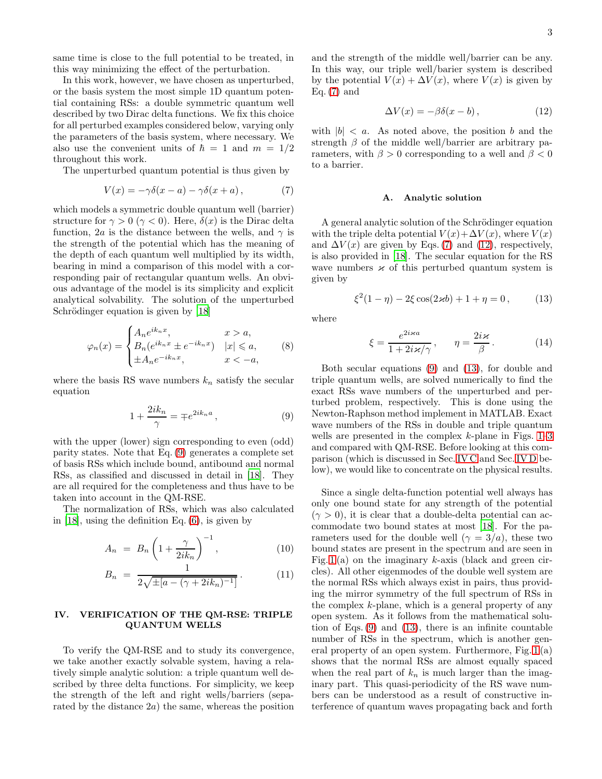same time is close to the full potential to be treated, in this way minimizing the effect of the perturbation.

In this work, however, we have chosen as unperturbed, or the basis system the most simple 1D quantum potential containing RSs: a double symmetric quantum well described by two Dirac delta functions. We fix this choice for all perturbed examples considered below, varying only the parameters of the basis system, where necessary. We also use the convenient units of  $\hbar = 1$  and  $m = 1/2$ throughout this work.

The unperturbed quantum potential is thus given by

<span id="page-2-1"></span>
$$
V(x) = -\gamma \delta(x - a) - \gamma \delta(x + a), \qquad (7)
$$

which models a symmetric double quantum well (barrier) structure for  $\gamma > 0$  ( $\gamma < 0$ ). Here,  $\delta(x)$  is the Dirac delta function, 2a is the distance between the wells, and  $\gamma$  is the strength of the potential which has the meaning of the depth of each quantum well multiplied by its width, bearing in mind a comparison of this model with a corresponding pair of rectangular quantum wells. An obvious advantage of the model is its simplicity and explicit analytical solvability. The solution of the unperturbed Schrödinger equation is given by [\[18\]](#page-9-11)

<span id="page-2-4"></span>
$$
\varphi_n(x) = \begin{cases} A_n e^{ik_n x}, & x > a, \\ B_n(e^{ik_n x} \pm e^{-ik_n x}) & |x| \leq a, \\ \pm A_n e^{-ik_n x}, & x < -a, \end{cases}
$$
 (8)

where the basis RS wave numbers  $k_n$  satisfy the secular equation

<span id="page-2-0"></span>
$$
1 + \frac{2ik_n}{\gamma} = \mp e^{2ik_n a},\tag{9}
$$

with the upper (lower) sign corresponding to even (odd) parity states. Note that Eq. [\(9\)](#page-2-0) generates a complete set of basis RSs which include bound, antibound and normal RSs, as classified and discussed in detail in [\[18](#page-9-11)]. They are all required for the completeness and thus have to be taken into account in the QM-RSE.

The normalization of RSs, which was also calculated in [\[18](#page-9-11)], using the definition Eq. [\(6\)](#page-1-5), is given by

<span id="page-2-5"></span>
$$
A_n = B_n \left( 1 + \frac{\gamma}{2ik_n} \right)^{-1}, \tag{10}
$$

$$
B_n = \frac{1}{2\sqrt{\pm[a - (\gamma + 2ik_n)^{-1}]}}.
$$
 (11)

## IV. VERIFICATION OF THE QM-RSE: TRIPLE QUANTUM WELLS

To verify the QM-RSE and to study its convergence, we take another exactly solvable system, having a relatively simple analytic solution: a triple quantum well described by three delta functions. For simplicity, we keep the strength of the left and right wells/barriers (separated by the distance 2a) the same, whereas the position

and the strength of the middle well/barrier can be any. In this way, our triple well/barier system is described by the potential  $V(x) + \Delta V(x)$ , where  $V(x)$  is given by Eq.  $(7)$  and

<span id="page-2-2"></span>
$$
\Delta V(x) = -\beta \delta(x - b), \qquad (12)
$$

with  $|b| < a$ . As noted above, the position b and the strength  $\beta$  of the middle well/barrier are arbitrary parameters, with  $\beta > 0$  corresponding to a well and  $\beta < 0$ to a barrier.

## <span id="page-2-7"></span>A. Analytic solution

A general analytic solution of the Schrödinger equation with the triple delta potential  $V(x)+\Delta V(x)$ , where  $V(x)$ and  $\Delta V(x)$  are given by Eqs. [\(7\)](#page-2-1) and [\(12\)](#page-2-2), respectively, is also provided in [\[18](#page-9-11)]. The secular equation for the RS wave numbers  $\varkappa$  of this perturbed quantum system is given by

<span id="page-2-3"></span>
$$
\xi^{2}(1-\eta) - 2\xi\cos(2\kappa b) + 1 + \eta = 0, \qquad (13)
$$

where

<span id="page-2-6"></span>
$$
\xi = \frac{e^{2i\kappa a}}{1 + 2i\kappa/\gamma}, \qquad \eta = \frac{2i\kappa}{\beta}.
$$
 (14)

Both secular equations [\(9\)](#page-2-0) and [\(13\)](#page-2-3), for double and triple quantum wells, are solved numerically to find the exact RSs wave numbers of the unperturbed and perturbed problem, respectively. This is done using the Newton-Raphson method implement in MATLAB. Exact wave numbers of the RSs in double and triple quantum wells are presented in the complex k-plane in Figs. [1](#page-3-0)[–3](#page-4-0) and compared with QM-RSE. Before looking at this comparison (which is discussed in Sec. [IV C](#page-4-1) and Sec. [IV D](#page-5-0) below), we would like to concentrate on the physical results.

Since a single delta-function potential well always has only one bound state for any strength of the potential  $(\gamma > 0)$ , it is clear that a double-delta potential can accommodate two bound states at most [\[18\]](#page-9-11). For the parameters used for the double well ( $\gamma = 3/a$ ), these two bound states are present in the spectrum and are seen in Fig. [1](#page-3-0) (a) on the imaginary k-axis (black and green circles). All other eigenmodes of the double well system are the normal RSs which always exist in pairs, thus providing the mirror symmetry of the full spectrum of RSs in the complex k-plane, which is a general property of any open system. As it follows from the mathematical solution of Eqs. [\(9\)](#page-2-0) and [\(13\)](#page-2-3), there is an infinite countable number of RSs in the spectrum, which is another general property of an open system. Furthermore, Fig. [1](#page-3-0) (a) shows that the normal RSs are almost equally spaced when the real part of  $k_n$  is much larger than the imaginary part. This quasi-periodicity of the RS wave numbers can be understood as a result of constructive interference of quantum waves propagating back and forth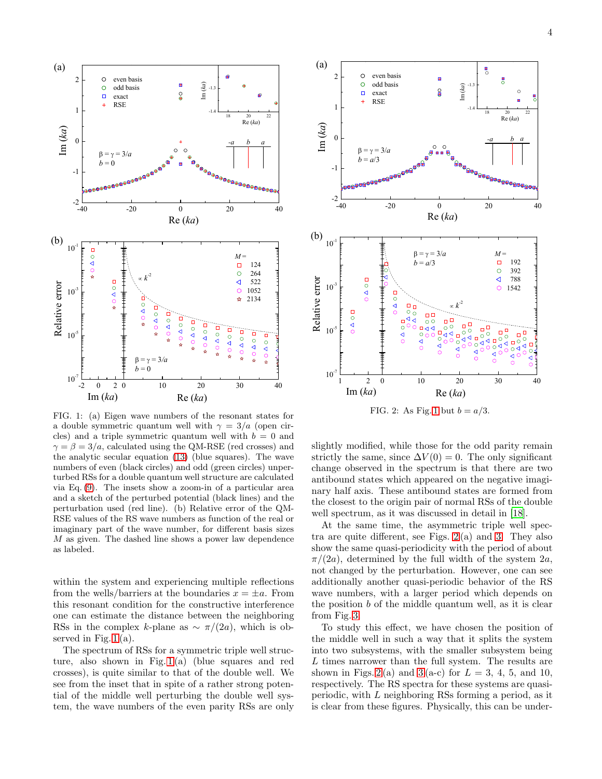

<span id="page-3-0"></span>FIG. 1: (a) Eigen wave numbers of the resonant states for a double symmetric quantum well with  $\gamma = 3/a$  (open circles) and a triple symmetric quantum well with  $b = 0$  and  $\gamma = \beta = 3/a$ , calculated using the QM-RSE (red crosses) and the analytic secular equation [\(13\)](#page-2-3) (blue squares). The wave numbers of even (black circles) and odd (green circles) unperturbed RSs for a double quantum well structure are calculated via Eq. [\(9\)](#page-2-0). The insets show a zoom-in of a particular area and a sketch of the perturbed potential (black lines) and the perturbation used (red line). (b) Relative error of the QM-RSE values of the RS wave numbers as function of the real or imaginary part of the wave number, for different basis sizes M as given. The dashed line shows a power law dependence as labeled.

within the system and experiencing multiple reflections from the wells/barriers at the boundaries  $x = \pm a$ . From this resonant condition for the constructive interference one can estimate the distance between the neighboring RSs in the complex k-plane as  $\sim \pi/(2a)$ , which is observed in Fig.  $1(a)$ .

The spectrum of RSs for a symmetric triple well structure, also shown in Fig. [1](#page-3-0) (a) (blue squares and red crosses), is quite similar to that of the double well. We see from the inset that in spite of a rather strong potential of the middle well perturbing the double well system, the wave numbers of the even parity RSs are only



<span id="page-3-1"></span>slightly modified, while those for the odd parity remain strictly the same, since  $\Delta V(0) = 0$ . The only significant change observed in the spectrum is that there are two antibound states which appeared on the negative imaginary half axis. These antibound states are formed from the closest to the origin pair of normal RSs of the double well spectrum, as it was discussed in detail in [\[18\]](#page-9-11).

At the same time, the asymmetric triple well spectra are quite different, see Figs. [2](#page-3-1) (a) and [3.](#page-4-0) They also show the same quasi-periodicity with the period of about  $\pi/(2a)$ , determined by the full width of the system  $2a$ , not changed by the perturbation. However, one can see additionally another quasi-periodic behavior of the RS wave numbers, with a larger period which depends on the position  $b$  of the middle quantum well, as it is clear from Fig. [3.](#page-4-0)

To study this effect, we have chosen the position of the middle well in such a way that it splits the system into two subsystems, with the smaller subsystem being L times narrower than the full system. The results are shown in Figs. [2](#page-3-1)(a) and [3](#page-4-0)(a-c) for  $L = 3, 4, 5,$  and 10, respectively. The RS spectra for these systems are quasiperiodic, with L neighboring RSs forming a period, as it is clear from these figures. Physically, this can be under-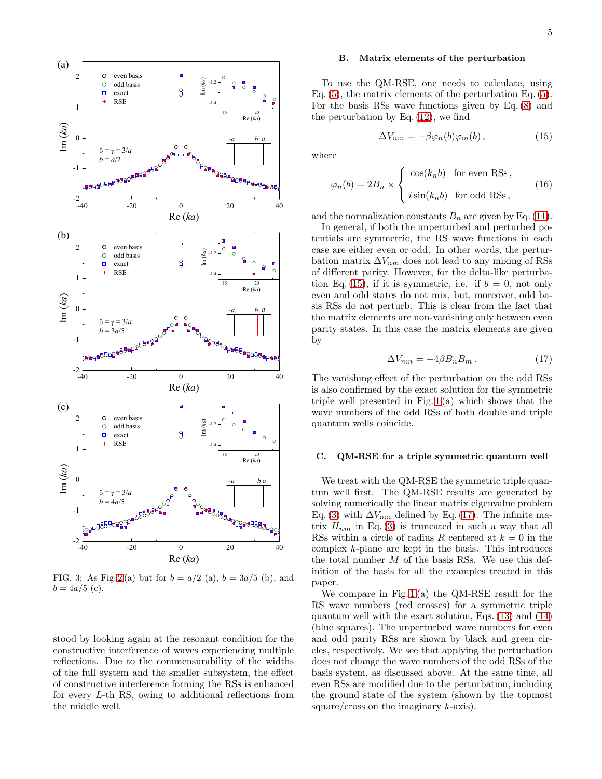

<span id="page-4-0"></span>FIG. 3: As Fig. [2](#page-3-1)(a) but for  $b = a/2$  (a),  $b = 3a/5$  (b), and  $b = 4a/5$  (c).

stood by looking again at the resonant condition for the constructive interference of waves experiencing multiple reflections. Due to the commensurability of the widths of the full system and the smaller subsystem, the effect of constructive interference forming the RSs is enhanced for every L-th RS, owing to additional reflections from the middle well.

## B. Matrix elements of the perturbation

To use the QM-RSE, one needs to calculate, using Eq. [\(5\)](#page-1-3), the matrix elements of the perturbation Eq. [\(5\)](#page-1-3). For the basis RSs wave functions given by Eq. [\(8\)](#page-2-4) and the perturbation by Eq. [\(12\)](#page-2-2), we find

<span id="page-4-2"></span>
$$
\Delta V_{nm} = -\beta \varphi_n(b) \varphi_m(b) , \qquad (15)
$$

where

<span id="page-4-4"></span>
$$
\varphi_n(b) = 2B_n \times \begin{cases} \cos(k_n b) & \text{for even RSs,} \\ i \sin(k_n b) & \text{for odd RSs,} \end{cases}
$$
 (16)

and the normalization constants  $B_n$  are given by Eq. [\(11\)](#page-2-5).

In general, if both the unperturbed and perturbed potentials are symmetric, the RS wave functions in each case are either even or odd. In other words, the perturbation matrix  $\Delta V_{nm}$  does not lead to any mixing of RSs of different parity. However, for the delta-like perturba-tion Eq. [\(15\)](#page-4-2), if it is symmetric, i.e. if  $b = 0$ , not only even and odd states do not mix, but, moreover, odd basis RSs do not perturb. This is clear from the fact that the matrix elements are non-vanishing only between even parity states. In this case the matrix elements are given by

<span id="page-4-3"></span>
$$
\Delta V_{nm} = -4\beta B_n B_m. \tag{17}
$$

The vanishing effect of the perturbation on the odd RSs is also confirmed by the exact solution for the symmetric triple well presented in Fig. [1](#page-3-0) (a) which shows that the wave numbers of the odd RSs of both double and triple quantum wells coincide.

### <span id="page-4-1"></span>C. QM-RSE for a triple symmetric quantum well

We treat with the QM-RSE the symmetric triple quantum well first. The QM-RSE results are generated by solving numerically the linear matrix eigenvalue problem Eq. [\(3\)](#page-1-4) with  $\Delta V_{nm}$  defined by Eq. [\(17\)](#page-4-3). The infinite matrix  $H_{nm}$  in Eq. [\(3\)](#page-1-4) is truncated in such a way that all RSs within a circle of radius R centered at  $k = 0$  in the complex k-plane are kept in the basis. This introduces the total number  $M$  of the basis RSs. We use this definition of the basis for all the examples treated in this paper.

We compare in Fig. [1](#page-3-0) (a) the QM-RSE result for the RS wave numbers (red crosses) for a symmetric triple quantum well with the exact solution, Eqs. [\(13\)](#page-2-3) and [\(14\)](#page-2-6) (blue squares). The unperturbed wave numbers for even and odd parity RSs are shown by black and green circles, respectively. We see that applying the perturbation does not change the wave numbers of the odd RSs of the basis system, as discussed above. At the same time, all even RSs are modified due to the perturbation, including the ground state of the system (shown by the topmost square/cross on the imaginary  $k$ -axis).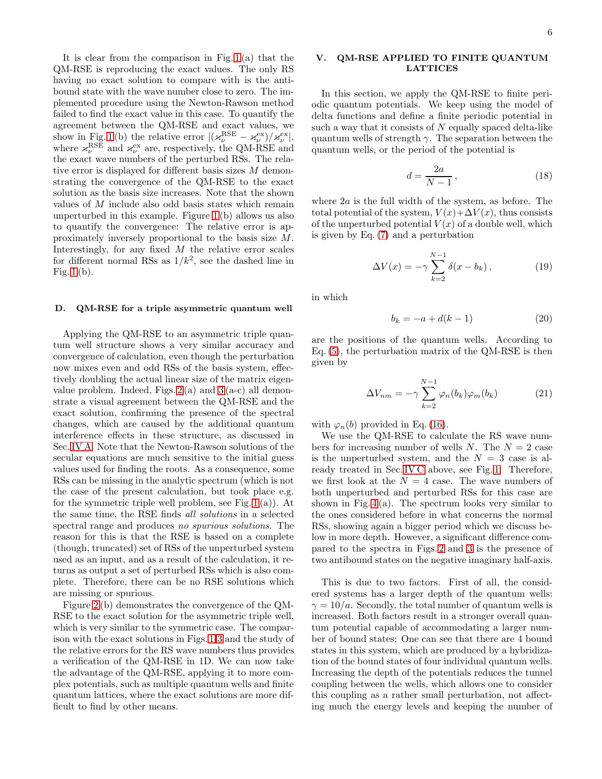It is clear from the comparison in Fig. [1](#page-3-0) (a) that the QM-RSE is reproducing the exact values. The only RS having no exact solution to compare with is the antibound state with the wave number close to zero. The implemented procedure using the Newton-Rawson method failed to find the exact value in this case. To quantify the agreement between the QM-RSE and exact values, we show in Fig. [1](#page-3-0) (b) the relative error  $\left| \left( \varkappa_{\nu}^{\text{RSE}} - \varkappa_{\nu}^{\text{ex}} \right) \right/ \varkappa_{\nu}^{\text{ex}} \right|$ , where  $\varkappa_{\nu}^{\text{RSE}}$  and  $\varkappa_{\nu}^{\text{ex}}$  are, respectively, the QM-RSE and the exact wave numbers of the perturbed RSs. The relative error is displayed for different basis sizes M demonstrating the convergence of the QM-RSE to the exact solution as the basis size increases. Note that the shown values of M include also odd basis states which remain unperturbed in this example. Figure [1](#page-3-0) (b) allows us also to quantify the convergence: The relative error is approximately inversely proportional to the basis size M. Interestingly, for any fixed  $M$  the relative error scales for different normal RSs as  $1/k^2$ , see the dashed line in Fig.  $1$  (b).

#### <span id="page-5-0"></span>D. QM-RSE for a triple asymmetric quantum well

Applying the QM-RSE to an asymmetric triple quantum well structure shows a very similar accuracy and convergence of calculation, even though the perturbation now mixes even and odd RSs of the basis system, effectively doubling the actual linear size of the matrix eigenvalue problem. Indeed, Figs.  $2(a)$  and  $3(a-c)$  all demonstrate a visual agreement between the QM-RSE and the exact solution, confirming the presence of the spectral changes, which are caused by the additional quantum interference effects in these structure, as discussed in Sec. [IV A.](#page-2-7) Note that the Newton-Rawson solutions of the secular equations are much sensitive to the initial guess values used for finding the roots. As a consequence, some RSs can be missing in the analytic spectrum (which is not the case of the present calculation, but took place e.g. for the symmetric triple well problem, see Fig. [1](#page-3-0) (a)). At the same time, the RSE finds all solutions in a selected spectral range and produces no spurious solutions. The reason for this is that the RSE is based on a complete (though, truncated) set of RSs of the unperturbed system used as an input, and as a result of the calculation, it returns as output a set of perturbed RSs which is also complete. Therefore, there can be no RSE solutions which are missing or spurious.

Figure [2](#page-3-1) (b) demonstrates the convergence of the QM-RSE to the exact solution for the asymmetric triple well, which is very similar to the symmetric case. The comparison with the exact solutions in Figs. [1](#page-3-0)[-3](#page-4-0) and the study of the relative errors for the RS wave numbers thus provides a verification of the QM-RSE in 1D. We can now take the advantage of the QM-RSE, applying it to more complex potentials, such as multiple quantum wells and finite quantum lattices, where the exact solutions are more difficult to find by other means.

# V. QM-RSE APPLIED TO FINITE QUANTUM LATTICES

In this section, we apply the QM-RSE to finite periodic quantum potentials. We keep using the model of delta functions and define a finite periodic potential in such a way that it consists of  $N$  equally spaced delta-like quantum wells of strength  $\gamma$ . The separation between the quantum wells, or the period of the potential is

<span id="page-5-2"></span>
$$
d = \frac{2a}{N-1},\tag{18}
$$

where 2a is the full width of the system, as before. The total potential of the system,  $V(x)+\Delta V(x)$ , thus consists of the unperturbed potential  $V(x)$  of a double well, which is given by Eq. [\(7\)](#page-2-1) and a perturbation

<span id="page-5-1"></span>
$$
\Delta V(x) = -\gamma \sum_{k=2}^{N-1} \delta(x - b_k), \qquad (19)
$$

in which

$$
b_k = -a + d(k - 1)
$$
 (20)

are the positions of the quantum wells. According to Eq. [\(5\)](#page-1-3), the perturbation matrix of the QM-RSE is then given by

$$
\Delta V_{nm} = -\gamma \sum_{k=2}^{N-1} \varphi_n(b_k) \varphi_m(b_k)
$$
 (21)

with  $\varphi_n(b)$  provided in Eq. [\(16\)](#page-4-4).

We use the QM-RSE to calculate the RS wave numbers for increasing number of wells N. The  $N = 2$  case is the unperturbed system, and the  $N = 3$  case is already treated in Sec. [IV C](#page-4-1) above, see Fig. [1.](#page-3-0) Therefore, we first look at the  $N = 4$  case. The wave numbers of both unperturbed and perturbed RSs for this case are shown in Fig.  $4(a)$ . The spectrum looks very similar to the ones considered before in what concerns the normal RSs, showing again a bigger period which we discuss below in more depth. However, a significant difference compared to the spectra in Figs. [2](#page-3-1) and [3](#page-4-0) is the presence of two antibound states on the negative imaginary half-axis.

This is due to two factors. First of all, the considered systems has a larger depth of the quantum wells:  $\gamma = 10/a$ . Secondly, the total number of quantum wells is increased. Both factors result in a stronger overall quantum potential capable of accommodating a larger number of bound states: One can see that there are 4 bound states in this system, which are produced by a hybridization of the bound states of four individual quantum wells. Increasing the depth of the potentials reduces the tunnel coupling between the wells, which allows one to consider this coupling as a rather small perturbation, not affecting much the energy levels and keeping the number of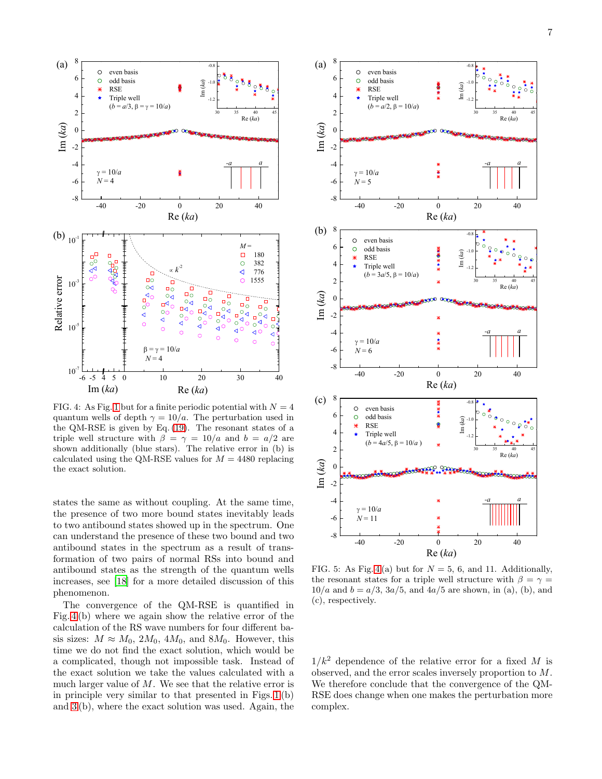

<span id="page-6-0"></span>FIG. 4: As Fig. [1](#page-3-0) but for a finite periodic potential with  $N = 4$ quantum wells of depth  $\gamma = 10/a$ . The perturbation used in the QM-RSE is given by Eq. [\(19\)](#page-5-1). The resonant states of a triple well structure with  $\beta = \gamma = 10/a$  and  $b = a/2$  are shown additionally (blue stars). The relative error in (b) is calculated using the QM-RSE values for  $M = 4480$  replacing the exact solution.

states the same as without coupling. At the same time, the presence of two more bound states inevitably leads to two antibound states showed up in the spectrum. One can understand the presence of these two bound and two antibound states in the spectrum as a result of transformation of two pairs of normal RSs into bound and antibound states as the strength of the quantum wells increases, see [\[18\]](#page-9-11) for a more detailed discussion of this phenomenon.

The convergence of the QM-RSE is quantified in Fig. [4](#page-6-0) (b) where we again show the relative error of the calculation of the RS wave numbers for four different basis sizes:  $M \approx M_0$ ,  $2M_0$ ,  $4M_0$ , and  $8M_0$ . However, this time we do not find the exact solution, which would be a complicated, though not impossible task. Instead of the exact solution we take the values calculated with a much larger value of  $M$ . We see that the relative error is in principle very similar to that presented in Figs. [1](#page-3-0) (b) and [3](#page-4-0) (b), where the exact solution was used. Again, the



<span id="page-6-1"></span>FIG. 5: As Fig. [4](#page-6-0) (a) but for  $N = 5$ , 6, and 11. Additionally, the resonant states for a triple well structure with  $\beta = \gamma =$  $10/a$  and  $b = a/3$ ,  $3a/5$ , and  $4a/5$  are shown, in (a), (b), and (c), respectively.

 $1/k^2$  dependence of the relative error for a fixed M is observed, and the error scales inversely proportion to M. We therefore conclude that the convergence of the QM-RSE does change when one makes the perturbation more complex.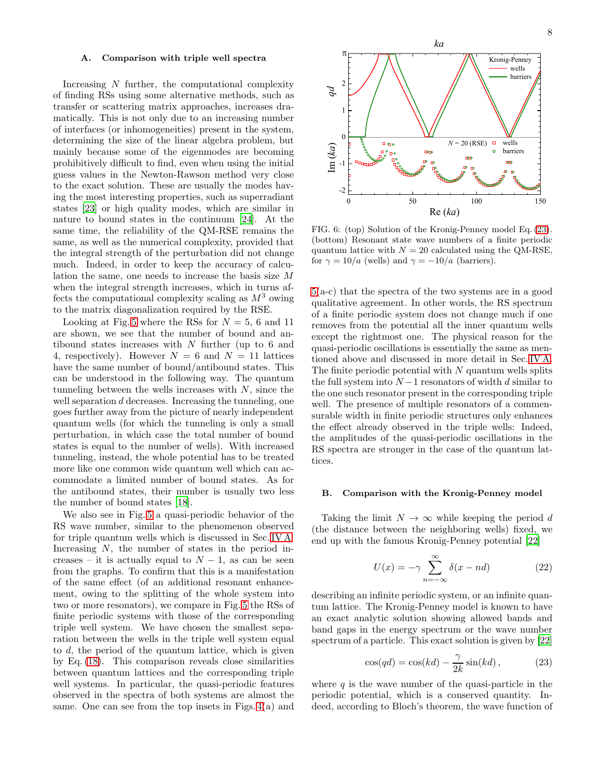### A. Comparison with triple well spectra

Increasing N further, the computational complexity of finding RSs using some alternative methods, such as transfer or scattering matrix approaches, increases dramatically. This is not only due to an increasing number of interfaces (or inhomogeneities) present in the system, determining the size of the linear algebra problem, but mainly because some of the eigenmodes are becoming prohibitively difficult to find, even when using the initial guess values in the Newton-Rawson method very close to the exact solution. These are usually the modes having the most interesting properties, such as superradiant states [\[23](#page-9-14)] or high quality modes, which are similar in nature to bound states in the continuum [\[24](#page-9-15)]. At the same time, the reliability of the QM-RSE remains the same, as well as the numerical complexity, provided that the integral strength of the perturbation did not change much. Indeed, in order to keep the accuracy of calculation the same, one needs to increase the basis size M when the integral strength increases, which in turns affects the computational complexity scaling as  $M^3$  owing to the matrix diagonalization required by the RSE.

Looking at Fig. [5](#page-6-1) where the RSs for  $N = 5$ , 6 and 11 are shown, we see that the number of bound and antibound states increases with  $N$  further (up to 6 and 4, respectively). However  $N = 6$  and  $N = 11$  lattices have the same number of bound/antibound states. This can be understood in the following way. The quantum tunneling between the wells increases with  $N$ , since the well separation d decreases. Increasing the tunneling, one goes further away from the picture of nearly independent quantum wells (for which the tunneling is only a small perturbation, in which case the total number of bound states is equal to the number of wells). With increased tunneling, instead, the whole potential has to be treated more like one common wide quantum well which can accommodate a limited number of bound states. As for the antibound states, their number is usually two less the number of bound states [\[18\]](#page-9-11).

We also see in Fig. [5](#page-6-1) a quasi-periodic behavior of the RS wave number, similar to the phenomenon observed for triple quantum wells which is discussed in Sec. [IV A.](#page-2-7) Increasing N, the number of states in the period increases – it is actually equal to  $N-1$ , as can be seen from the graphs. To confirm that this is a manifestation of the same effect (of an additional resonant enhancement, owing to the splitting of the whole system into two or more resonators), we compare in Fig. [5](#page-6-1) the RSs of finite periodic systems with those of the corresponding triple well system. We have chosen the smallest separation between the wells in the triple well system equal to d, the period of the quantum lattice, which is given by Eq. [\(18\)](#page-5-2). This comparison reveals close similarities between quantum lattices and the corresponding triple well systems. In particular, the quasi-periodic features observed in the spectra of both systems are almost the same. One can see from the top insets in Figs. [4\(](#page-6-0)a) and



<span id="page-7-1"></span>FIG. 6: (top) Solution of the Kronig-Penney model Eq. [\(23\)](#page-7-0). (bottom) Resonant state wave numbers of a finite periodic quantum lattice with  $N = 20$  calculated using the QM-RSE, for  $\gamma = 10/a$  (wells) and  $\gamma = -10/a$  (barriers).

[5\(](#page-6-1)a-c) that the spectra of the two systems are in a good qualitative agreement. In other words, the RS spectrum of a finite periodic system does not change much if one removes from the potential all the inner quantum wells except the rightmost one. The physical reason for the quasi-periodic oscillations is essentially the same as mentioned above and discussed in more detail in Sec. [IV A.](#page-2-7) The finite periodic potential with  $N$  quantum wells splits the full system into  $N-1$  resonators of width d similar to the one such resonator present in the corresponding triple well. The presence of multiple resonators of a commensurable width in finite periodic structures only enhances the effect already observed in the triple wells: Indeed, the amplitudes of the quasi-periodic oscillations in the RS spectra are stronger in the case of the quantum lattices.

### <span id="page-7-3"></span>B. Comparison with the Kronig-Penney model

Taking the limit  $N \to \infty$  while keeping the period d (the distance between the neighboring wells) fixed, we end up with the famous Kronig-Penney potential [\[22](#page-9-16)]

<span id="page-7-2"></span>
$$
U(x) = -\gamma \sum_{n = -\infty}^{\infty} \delta(x - nd)
$$
 (22)

describing an infinite periodic system, or an infinite quantum lattice. The Kronig-Penney model is known to have an exact analytic solution showing allowed bands and band gaps in the energy spectrum or the wave number spectrum of a particle. This exact solution is given by [\[22](#page-9-16)]

<span id="page-7-0"></span>
$$
\cos(qd) = \cos(kd) - \frac{\gamma}{2k}\sin(kd),\qquad (23)
$$

where  $q$  is the wave number of the quasi-particle in the periodic potential, which is a conserved quantity. Indeed, according to Bloch's theorem, the wave function of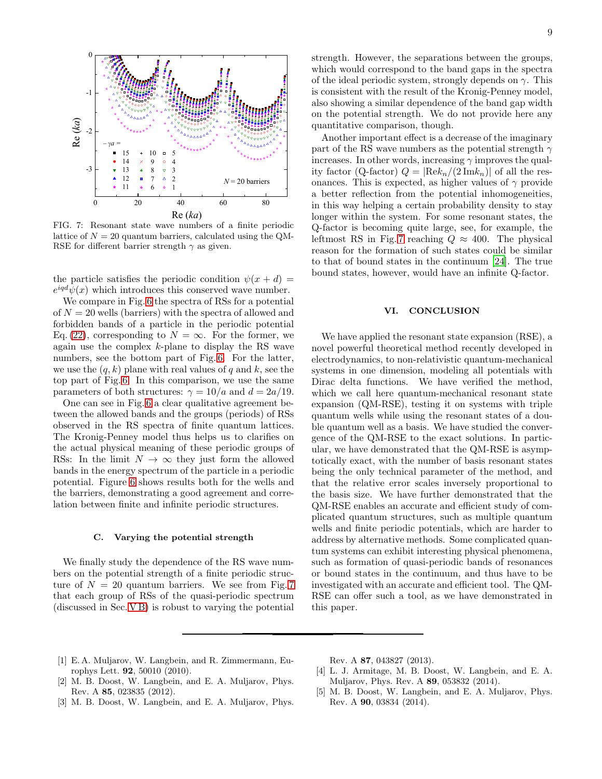

<span id="page-8-3"></span>FIG. 7: Resonant state wave numbers of a finite periodic lattice of  $N = 20$  quantum barriers, calculated using the QM-RSE for different barrier strength  $\gamma$  as given.

the particle satisfies the periodic condition  $\psi(x+d)$  =  $e^{i q d} \psi(x)$  which introduces this conserved wave number.

We compare in Fig. [6](#page-7-1) the spectra of RSs for a potential of  $N = 20$  wells (barriers) with the spectra of allowed and forbidden bands of a particle in the periodic potential Eq. [\(22\)](#page-7-2), corresponding to  $N = \infty$ . For the former, we again use the complex  $k$ -plane to display the RS wave numbers, see the bottom part of Fig. [6.](#page-7-1) For the latter, we use the  $(q, k)$  plane with real values of q and k, see the top part of Fig. [6.](#page-7-1) In this comparison, we use the same parameters of both structures:  $\gamma = 10/a$  and  $d = 2a/19$ .

One can see in Fig. [6](#page-7-1) a clear qualitative agreement between the allowed bands and the groups (periods) of RSs observed in the RS spectra of finite quantum lattices. The Kronig-Penney model thus helps us to clarifies on the actual physical meaning of these periodic groups of RSs: In the limit  $N \to \infty$  they just form the allowed bands in the energy spectrum of the particle in a periodic potential. Figure [6](#page-7-1) shows results both for the wells and the barriers, demonstrating a good agreement and correlation between finite and infinite periodic structures.

#### C. Varying the potential strength

We finally study the dependence of the RS wave numbers on the potential strength of a finite periodic structure of  $N = 20$  quantum barriers. We see from Fig. [7](#page-8-3) that each group of RSs of the quasi-periodic spectrum (discussed in Sec. [V B\)](#page-7-3) is robust to varying the potential strength. However, the separations between the groups, which would correspond to the band gaps in the spectra of the ideal periodic system, strongly depends on  $\gamma$ . This is consistent with the result of the Kronig-Penney model, also showing a similar dependence of the band gap width on the potential strength. We do not provide here any quantitative comparison, though.

Another important effect is a decrease of the imaginary part of the RS wave numbers as the potential strength  $\gamma$ increases. In other words, increasing  $\gamma$  improves the quality factor (Q-factor)  $Q = |\text{Re}k_n/(2 \text{Im}k_n)|$  of all the resonances. This is expected, as higher values of  $\gamma$  provide a better reflection from the potential inhomogeneities, in this way helping a certain probability density to stay longer within the system. For some resonant states, the Q-factor is becoming quite large, see, for example, the leftmost RS in Fig. [7](#page-8-3) reaching  $Q \approx 400$ . The physical reason for the formation of such states could be similar to that of bound states in the continuum [\[24](#page-9-15)]. The true bound states, however, would have an infinite Q-factor.

## VI. CONCLUSION

We have applied the resonant state expansion (RSE), a novel powerful theoretical method recently developed in electrodynamics, to non-relativistic quantum-mechanical systems in one dimension, modeling all potentials with Dirac delta functions. We have verified the method, which we call here quantum-mechanical resonant state expansion (QM-RSE), testing it on systems with triple quantum wells while using the resonant states of a double quantum well as a basis. We have studied the convergence of the QM-RSE to the exact solutions. In particular, we have demonstrated that the QM-RSE is asymptotically exact, with the number of basis resonant states being the only technical parameter of the method, and that the relative error scales inversely proportional to the basis size. We have further demonstrated that the QM-RSE enables an accurate and efficient study of complicated quantum structures, such as multiple quantum wells and finite periodic potentials, which are harder to address by alternative methods. Some complicated quantum systems can exhibit interesting physical phenomena, such as formation of quasi-periodic bands of resonances or bound states in the continuum, and thus have to be investigated with an accurate and efficient tool. The QM-RSE can offer such a tool, as we have demonstrated in this paper.

- <span id="page-8-0"></span>[1] E. A. Muljarov, W. Langbein, and R. Zimmermann, Europhys Lett. 92, 50010 (2010).
- <span id="page-8-1"></span>[2] M. B. Doost, W. Langbein, and E. A. Muljarov, Phys. Rev. A 85, 023835 (2012).
- [3] M. B. Doost, W. Langbein, and E. A. Muljarov, Phys.

Rev. A 87, 043827 (2013).

- [4] L. J. Armitage, M. B. Doost, W. Langbein, and E. A. Muljarov, Phys. Rev. A 89, 053832 (2014).
- <span id="page-8-2"></span>[5] M. B. Doost, W. Langbein, and E. A. Muljarov, Phys. Rev. A 90, 03834 (2014).